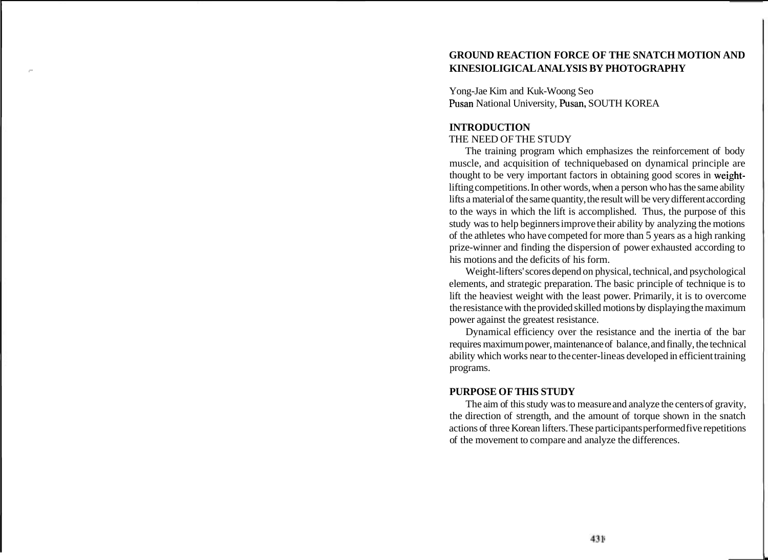# **GROUND REACTION FORCE OF THE SNATCH MOTION AND c KINESIOLIGICAL ANALYSIS BY PHOTOGRAPHY**

Yong-Jae Kim and Kuk-Woong Seo Pusan National University, Pusan, SOUTH KOREA

#### **INTRODUCTION**

#### THE NEED OF THE STUDY

The training program which emphasizes the reinforcement of body muscle, and acquisition of techniquebased on dynamical principle are thought to be very important factors in obtaining good scores in weightlifting competitions. In other words, when a person who has the same ability lifts a material of the same quantity, the result will be very different according to the ways in which the lift is accomplished. Thus, the purpose of this study was to help beginners improve their ability by analyzing the motions of the athletes who have competed for more than 5 years as a high ranking prize-winner and finding the dispersion of power exhausted according to his motions and the deficits of his form.

Weight-lifters' scores depend on physical, technical, and psychological elements, and strategic preparation. The basic principle of technique is to lift the heaviest weight with the least power. Primarily, it is to overcome the resistance with the provided skilled motions by displaying the maximum power against the greatest resistance.

Dynamical efficiency over the resistance and the inertia of the bar requires maximum power, maintenance of balance, and finally, the technical ability which works near to the center-line as developed in efficient training programs.

## **PURPOSE OF THIS STUDY**

The aim of this study was to measure and analyze the centers of gravity, the direction of strength, and the amount of torque shown in the snatch actions of three Korean lifters. These participants performed five repetitions of the movement to compare and analyze the differences.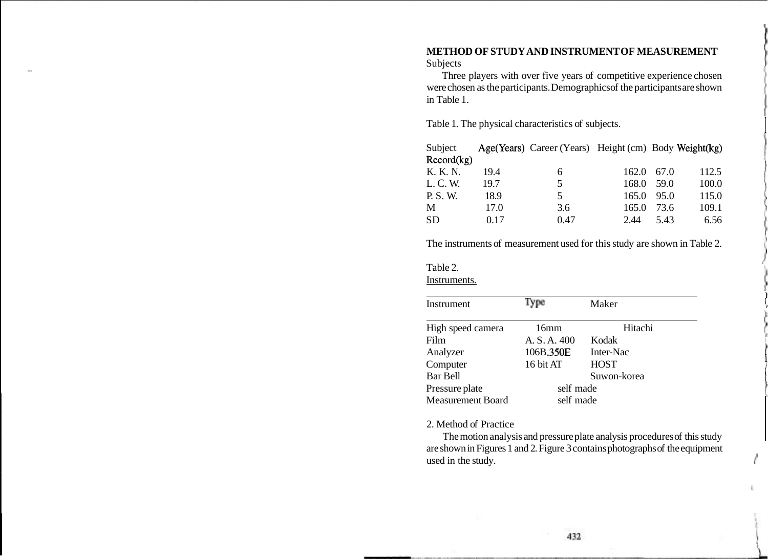# **METHOD OF STUDY AND INSTRUMENT OF MEASUREMENT**  Subjects<br>Thus:

Three players with over five years of competitive experience chosen were chosen as the participants. Demographics of the participants are shown in Table 1.

Table 1. The physical characteristics of subjects. I

| Subject    |      | Age(Years) Career (Years) Height (cm) Body Weight (kg) |                    |      |       |
|------------|------|--------------------------------------------------------|--------------------|------|-------|
| Record(kg) |      |                                                        |                    |      |       |
| K. K. N.   | 19.4 | 6                                                      | $162.0 \quad 67.0$ |      | 112.5 |
| L. C. W.   | 19.7 | 5                                                      | 168.0              | 59.0 | 100.0 |
| P. S. W.   | 18.9 | 5.                                                     | 165.0              | 95.0 | 115.0 |
| M          | 17.0 | 3.6                                                    | 165.0              | 73.6 | 109.1 |
| <b>SD</b>  | 0.17 | 0.47                                                   | 2.44               | 5.43 | 6.56  |

The instruments of measurement used for this study are shown in Table 2.

Table 2. Instruments.

| Instrument               | Type         | Maker       |
|--------------------------|--------------|-------------|
| High speed camera        | 16mm         | Hitachi     |
| Film                     | A. S. A. 400 | Kodak       |
| Analyzer                 | 106B.350E    | Inter-Nac   |
| Computer                 | 16 bit AT    | <b>HOST</b> |
| <b>Bar Bell</b>          |              | Suwon-korea |
| Pressure plate           | self made    |             |
| <b>Measurement Board</b> | self made    |             |
|                          |              |             |

#### 2. Method of Practice

The motion analysis and pressure plate analysis procedures of this study are shown in Figures 1 and 2. Figure 3 contains photographs of the equipment used in the study.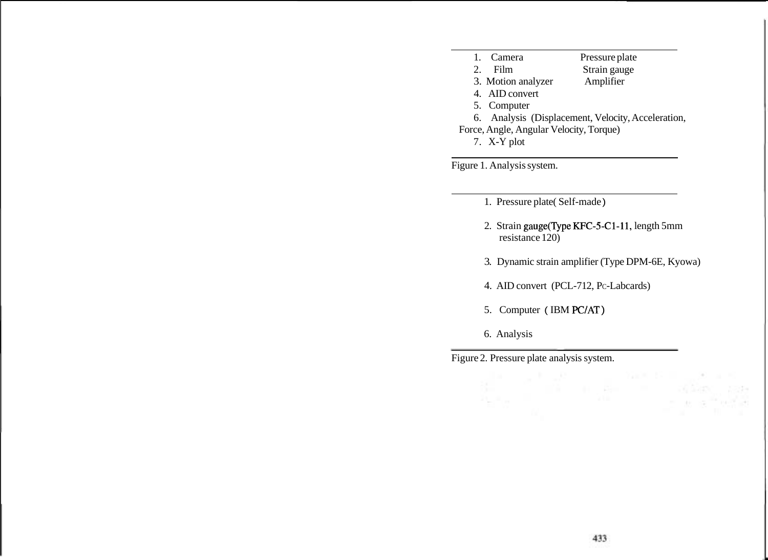1. Camera Pressure plate<br>
2. Film Strain gauge Strain gauge 3. Motion analyzer Amplifier 4. AID convert 5. Computer 6. Analysis (Displacement, Velocity, Acceleration, Force, Angle, Angular Velocity, Torque) 7. X-Y plot

Figure 1. Analysis system.

- 1. Pressure plate( Self-made )
- 2. Strain gauge(Type KFC-5-C1-11, length 5mm resistance 120)
- 3. Dynamic strain amplifier (Type DPM-6E, Kyowa)
- 4. AID convert (PCL-712, Pc-Labcards)
- 5. Computer (IBM PC/AT)
- 6. Analysis

Figure 2. Pressure plate analysis system.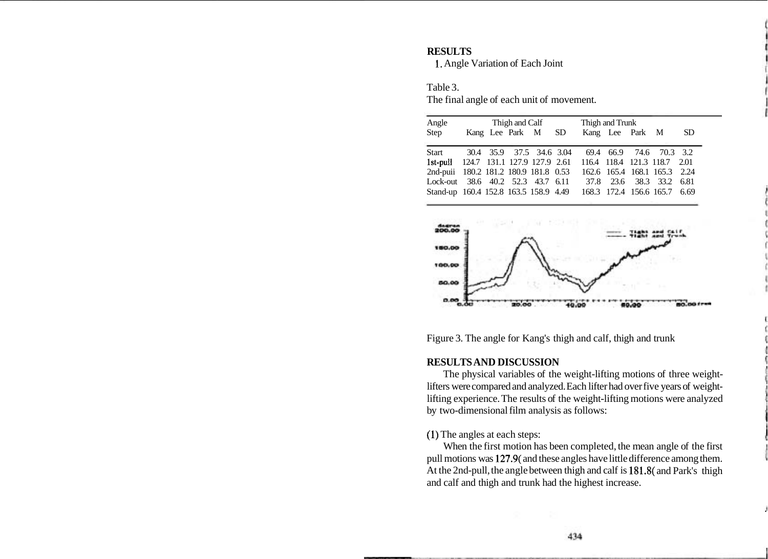#### **RESULTS**

1. Angle Variation of Each Joint

Table 3.

The final angle of each unit of movement.

| Angle                                                              | Thigh and Calf |  |  |                    |  | Thigh and Trunk              |                 |  |                              |     |
|--------------------------------------------------------------------|----------------|--|--|--------------------|--|------------------------------|-----------------|--|------------------------------|-----|
| Step                                                               |                |  |  | Kang Lee Park M SD |  |                              | Kang Lee Park M |  |                              | SD. |
| Start 30.4 35.9 37.5 34.6 3.04 69.4 66.9 74.6 70.3 3.2             |                |  |  |                    |  |                              |                 |  |                              |     |
| 1st-pull 124.7 131.1 127.9 127.9 2.61 116.4 118.4 121.3 118.7 2.01 |                |  |  |                    |  |                              |                 |  |                              |     |
| 2nd-puii 180.2 181.2 180.9 181.8 0.53                              |                |  |  |                    |  | 162.6 165.4 168.1 165.3 2.24 |                 |  |                              |     |
| Lock-out 38.6 40.2 52.3 43.7 6.11 37.8 23.6 38.3 33.2 6.81         |                |  |  |                    |  |                              |                 |  |                              |     |
| Stand-up 160.4 152.8 163.5 158.9 4.49                              |                |  |  |                    |  |                              |                 |  | 168.3 172.4 156.6 165.7 6.69 |     |



Figure 3. The angle for Kang's thigh and calf, thigh and trunk

### **RESULTS AND DISCUSSION**

The physical variables of the weight-lifting motions of three weightlifters were compared and analyzed. Each lifter had over five years of weightlifting experience. The results of the weight-lifting motions were analyzed by two-dimensional film analysis as follows:

(I) The angles at each steps:

When the first motion has been completed, the mean angle of the first pull motions was 127.9( and these angles have little difference among them. At the 2nd-pull, the angle between thigh and calf is 181.8( and Park's thigh and calf and thigh and trunk had the highest increase.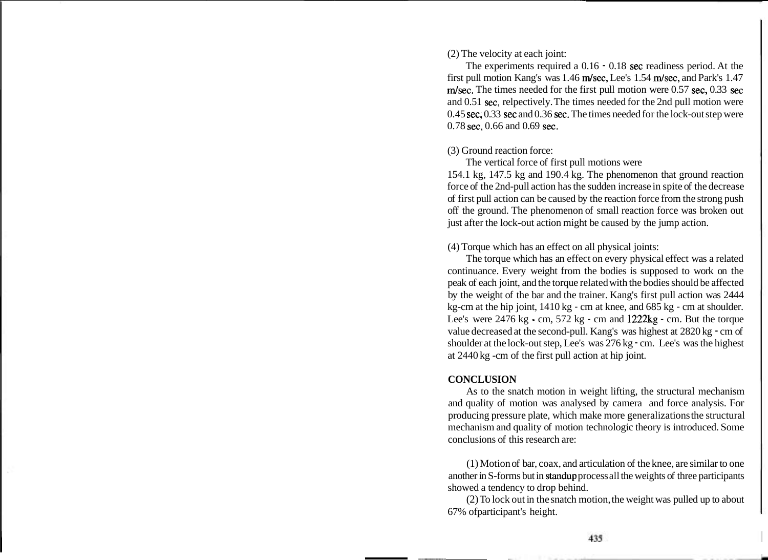(2) The velocity at each joint:

The experiments required a 0.16 - 0.18 sec readiness period. At the first pull motion Kang's was 1.46 m/sec, Lee's 1.54 m/sec, and Park's 1.47  $m/sec$ . The times needed for the first pull motion were 0.57 sec, 0.33 sec and 0.51 sec, relpectively. The times needed for the 2nd pull motion were 0.45 sec, 0.33 sec and 0.36 sec. The times needed for the lock-out step were 0.78 sec, 0.66 and 0.69 sec.

(3) Ground reaction force:

The vertical force of first pull motions were 154.1 kg, 147.5 kg and 190.4 kg. The phenomenon that ground reaction force of the 2nd-pull action has the sudden increase in spite of the decrease of first pull action can be caused by the reaction force from the strong push off the ground. The phenomenon of small reaction force was broken out just after the lock-out action might be caused by the jump action.

(4) Torque which has an effect on all physical joints:

The torque which has an effect on every physical effect was a related continuance. Every weight from the bodies is supposed to work on the peak of each joint, and the torque related with the bodies should be affected by the weight of the bar and the trainer. Kang's first pull action was 2444 kg-cm at the hip joint, 1410 kg - cm at knee, and 685 kg - cm at shoulder. Lee's were 2476 kg - cm, 572 kg - cm and 1222kg - cm. But the torque value decreased at the second-pull. Kang's was highest at 2820 kg - cm of shoulder at the lock-out step, Lee's was 276 kg - cm. Lee's was the highest at 2440 kg -cm of the first pull action at hip joint.

#### **CONCLUSION**

As to the snatch motion in weight lifting, the structural mechanism and quality of motion was analysed by camera and force analysis. For producing pressure plate, which make more generalizations the structural mechanism and quality of motion technologic theory is introduced. Some conclusions of this research are:

(1) Motion of bar, coax, and articulation of the knee, are similar to one another in S-forms but in standup process all the weights of three participants showed a tendency to drop behind.

(2) To lock out in the snatch motion, the weight was pulled up to about 67% ofparticipant's height.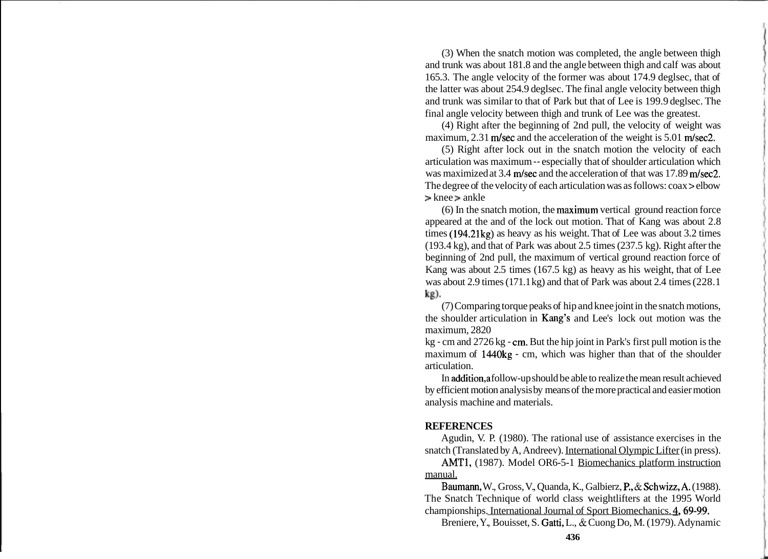(3) When the snatch motion was completed, the angle between thigh and trunk was about 181.8 and the angle between thigh and calf was about 165.3. The angle velocity of the former was about 174.9 deglsec, that of the latter was about 254.9 deglsec. The final angle velocity between thigh and trunk was similar to that of Park but that of Lee is 199.9 deglsec. The final angle velocity between thigh and trunk of Lee was the greatest.

(4) Right after the beginning of 2nd pull, the velocity of weight was maximum,  $2.31$  m/sec and the acceleration of the weight is  $5.01$  m/sec2.

(5) Right after lock out in the snatch motion the velocity of each articulation was maximum -- especially that of shoulder articulation which was maximized at  $3.4$  m/sec and the acceleration of that was 17.89 m/sec2. The degree of the velocity of each articulation was as follows: coax > elbow > knee > ankle

(6) In the snatch motion, the maximum vertical ground reaction force appeared at the and of the lock out motion. That of Kang was about 2.8 times (194.21kg) as heavy as his weight. That of Lee was about 3.2 times (193.4 kg), and that of Park was about 2.5 times (237.5 kg). Right after the beginning of 2nd pull, the maximum of vertical ground reaction force of Kang was about 2.5 times (167.5 kg) as heavy as his weight, that of Lee was about 2.9 times (171.1 kg) and that of Park was about 2.4 times (228.1 kg).

(7) Comparing torque peaks of hip and knee joint in the snatch motions, the shoulder articulation in Kang's and Lee's lock out motion was the maximum, 2820

kg - cm and 2726 kg - cm. But the hip joint in Park's first pull motion is the maximum of 1440kg - cm, which was higher than that of the shoulder articulation.

In addition,a follow-up should be able to realize the mean result achieved by efficient motion analysis by means of the more practical and easier motion analysis machine and materials.

#### **REFERENCES**

Agudin, V. P. (1980). The rational use of assistance exercises in the snatch (Translated by A, Andreev). International Olympic Lifter (in press).

AMT1, (1987). Model OR6-5-1 Biomechanics platform instruction manual.

Baumann, W., Gross, V., Quanda, K., Galbierz, P., & Schwizz,A. (1988). The Snatch Technique of world class weightlifters at the 1995 World championships. International Journal of Sport Biomechanics. 4, 69-99.

Breniere, Y., Bouisset, S. Gatti, L., & Cuong Do, M. (1979). Adynamic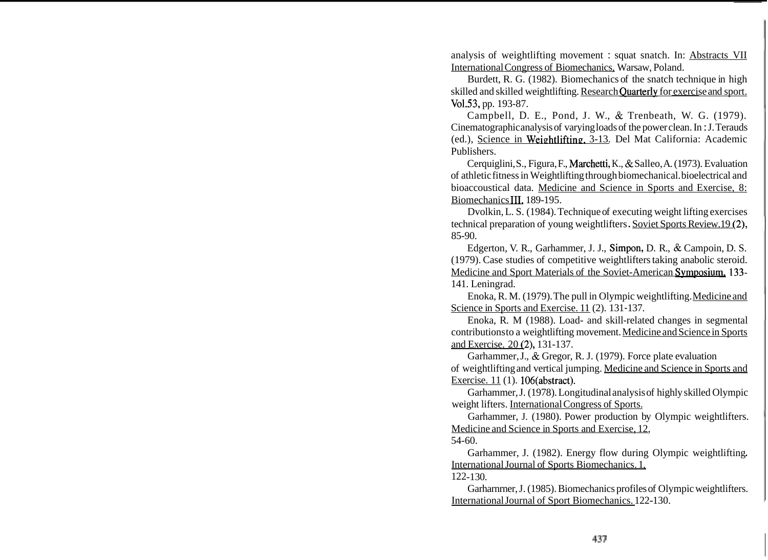analysis of weightlifting movement : squat snatch. In: Abstracts VII International Congress of Biomechanics, Warsaw, Poland.

Burdett, R. G. (1982). Biomechanics of the snatch technique in high skilled and skilled weightlifting. Research Ouarterly for exercise and sport. Vo1.53, pp. 193-87.

Campbell, D. E., Pond, J. W., & Trenbeath, W. G. (1979). Cinematographic analysis of varying loads of the power clean. In : J. Terauds (ed.), Science in Weightlifting. 3-13. Del Mat California: Academic Publishers.

Cerquiglini, S., Figura, F., Marchetti, K., & Salleo, A. (1973). Evaluation of athletic fitness in Weightlifting through biomechanical. bioelectrical and bioaccoustical data. Medicine and Science in Sports and Exercise, 8: Biomechanics III, 189-195.

Dvolkin, L. S. (1984). Technique of executing weight lifting exercises technical preparation of young weightlifters . Soviet Sports Review.19 (2), 85-90.

Edgerton, V. R., Garhammer, J. J., Simpon, D. R., & Campoin, D. S. (1979). Case studies of competitive weightlifters taking anabolic steroid. Medicine and Sport Materials of the Soviet-American Symposium, 133-141. Leningrad.

Enoka, R. M. (1979). The pull in Olympic weightlifting. Medicine and Science in Sports and Exercise. 11 (2). 131-137.

Enoka, R. M (1988). Load- and skill-related changes in segmental contributions to a weightlifting movement. Medicine and Science in Sports and Exercise. 20 (2), 131-137.

Garhammer, J., & Gregor, R. J. (1979). Force plate evaluation of weightlifting and vertical jumping. Medicine and Science in Sports and Exercise. 11 (1). 106(abstract).

Garhammer, J. (1978). Longitudinal analysis of highly skilled Olympic weight lifters. International Congress of Sports.

Garhammer, J. (1980). Power production by Olympic weightlifters. Medicine and Science in Sports and Exercise, 12, 54-60.

Garhammer, J. (1982). Energy flow during Olympic weightlifting. International Journal of Sports Biomechanics. 1, 122- 1 30.

Garharnrner, J. (1985). Biomechanics profiles of Olympic weightlifters. International Journal of Sport Biomechanics. 122-130.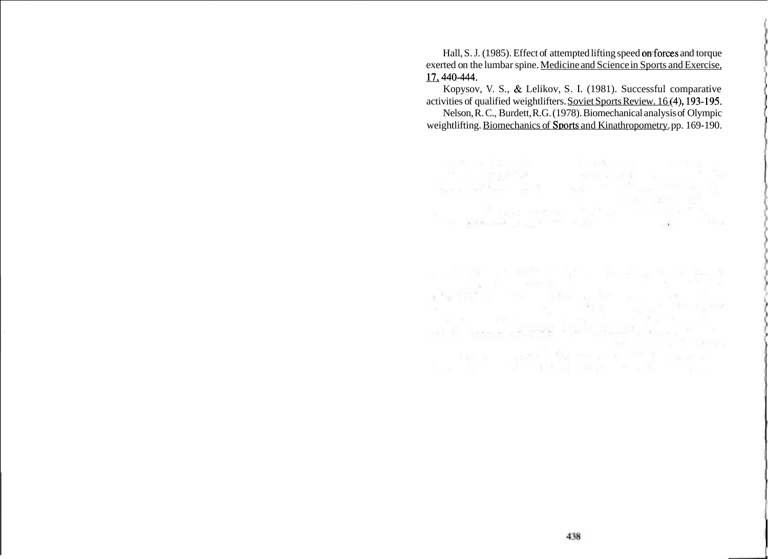Hall, S. J. (1985). Effect of attempted lifting speed on forces and torque exerted on the lumbar spine. Medicine and Science in Sports and Exercise, 17.440-444.

Kopysov, V. S., & Lelikov, S. I. (1981). Successful comparative activities of qualified weightlifters. Soviet Sports Review. 16 (4), 193-195.

Nelson, R. C., Burdett, R.G. (1978). Biomechanical analysis of Olympic weightlifting. Biomechanics of Sports and Kinathropometry. pp. 169-190.